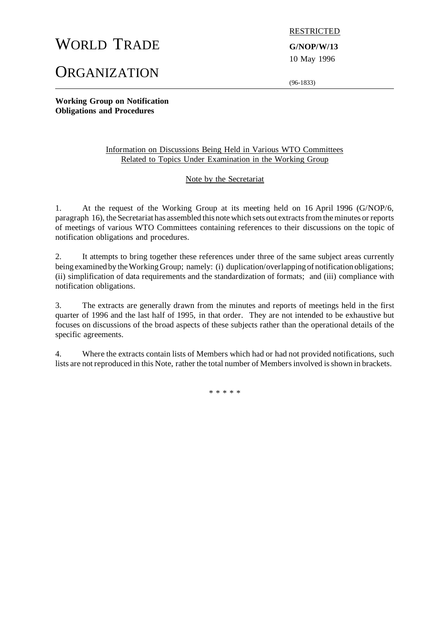# WORLD TRADE **G/NOP/W/13**

**ORGANIZATION** 

RESTRICTED

10 May 1996

(96-1833)

**Working Group on Notification Obligations and Procedures**

# Information on Discussions Being Held in Various WTO Committees Related to Topics Under Examination in the Working Group

# Note by the Secretariat

1. At the request of the Working Group at its meeting held on 16 April 1996 (G/NOP/6, paragraph 16), the Secretariat has assembled this note which sets out extracts from the minutes or reports of meetings of various WTO Committees containing references to their discussions on the topic of notification obligations and procedures.

2. It attempts to bring together these references under three of the same subject areas currently being examined by the Working Group; namely: (i) duplication/overlapping of notification obligations; (ii) simplification of data requirements and the standardization of formats; and (iii) compliance with notification obligations.

3. The extracts are generally drawn from the minutes and reports of meetings held in the first quarter of 1996 and the last half of 1995, in that order. They are not intended to be exhaustive but focuses on discussions of the broad aspects of these subjects rather than the operational details of the specific agreements.

4. Where the extracts contain lists of Members which had or had not provided notifications, such lists are not reproduced in this Note, rather the total number of Members involved is shown in brackets.

\* \* \* \* \*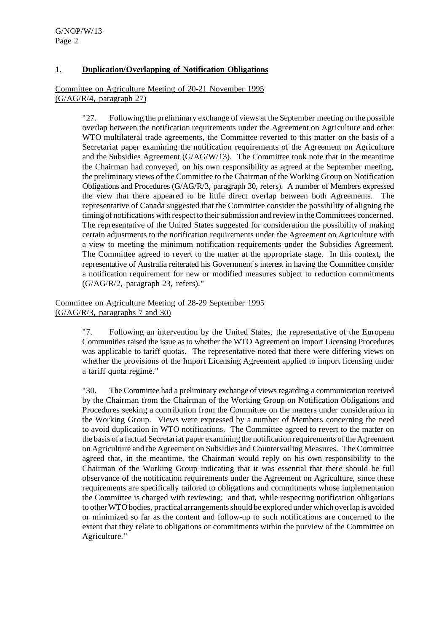# **1. Duplication/Overlapping of Notification Obligations**

Committee on Agriculture Meeting of 20-21 November 1995 (G/AG/R/4, paragraph 27)

> "27. Following the preliminary exchange of views at the September meeting on the possible overlap between the notification requirements under the Agreement on Agriculture and other WTO multilateral trade agreements, the Committee reverted to this matter on the basis of a Secretariat paper examining the notification requirements of the Agreement on Agriculture and the Subsidies Agreement (G/AG/W/13). The Committee took note that in the meantime the Chairman had conveyed, on his own responsibility as agreed at the September meeting, the preliminary views of the Committee to the Chairman of the Working Group on Notification Obligations and Procedures (G/AG/R/3, paragraph 30, refers). A number of Members expressed the view that there appeared to be little direct overlap between both Agreements. The representative of Canada suggested that the Committee consider the possibility of aligning the timing of notifications with respect to their submission and review in the Committees concerned. The representative of the United States suggested for consideration the possibility of making certain adjustments to the notification requirements under the Agreement on Agriculture with a view to meeting the minimum notification requirements under the Subsidies Agreement. The Committee agreed to revert to the matter at the appropriate stage. In this context, the representative of Australia reiterated his Government's interest in having the Committee consider a notification requirement for new or modified measures subject to reduction commitments (G/AG/R/2, paragraph 23, refers)."

Committee on Agriculture Meeting of 28-29 September 1995 (G/AG/R/3, paragraphs 7 and 30)

> "7. Following an intervention by the United States, the representative of the European Communities raised the issue as to whether the WTO Agreement on Import Licensing Procedures was applicable to tariff quotas. The representative noted that there were differing views on whether the provisions of the Import Licensing Agreement applied to import licensing under a tariff quota regime."

> "30. The Committee had a preliminary exchange of viewsregarding a communication received by the Chairman from the Chairman of the Working Group on Notification Obligations and Procedures seeking a contribution from the Committee on the matters under consideration in the Working Group. Views were expressed by a number of Members concerning the need to avoid duplication in WTO notifications. The Committee agreed to revert to the matter on the basis of a factual Secretariat paper examining the notification requirements ofthe Agreement on Agriculture and the Agreement on Subsidies and Countervailing Measures. The Committee agreed that, in the meantime, the Chairman would reply on his own responsibility to the Chairman of the Working Group indicating that it was essential that there should be full observance of the notification requirements under the Agreement on Agriculture, since these requirements are specifically tailored to obligations and commitments whose implementation the Committee is charged with reviewing; and that, while respecting notification obligations to otherWTO bodies, practical arrangementsshould be explored underwhich overlap is avoided or minimized so far as the content and follow-up to such notifications are concerned to the extent that they relate to obligations or commitments within the purview of the Committee on Agriculture."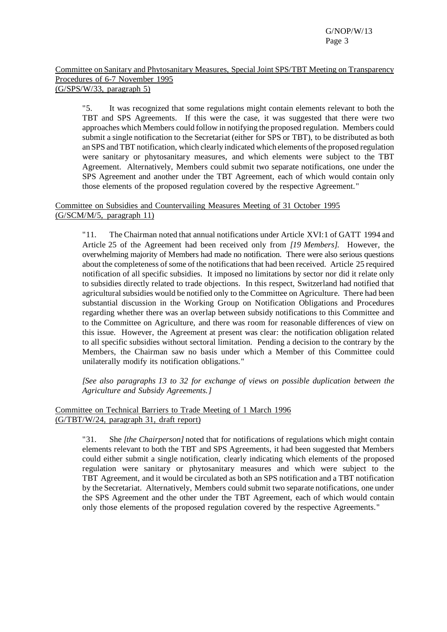#### Committee on Sanitary and Phytosanitary Measures, Special Joint SPS/TBT Meeting on Transparency Procedures of 6-7 November 1995 (G/SPS/W/33, paragraph 5)

"5. It was recognized that some regulations might contain elements relevant to both the TBT and SPS Agreements. If this were the case, it was suggested that there were two approaches which Members could follow in notifying the proposed regulation. Members could submit a single notification to the Secretariat (either for SPS or TBT), to be distributed as both an SPS andTBT notification, which clearly indicated which elements ofthe proposed regulation were sanitary or phytosanitary measures, and which elements were subject to the TBT Agreement. Alternatively, Members could submit two separate notifications, one under the SPS Agreement and another under the TBT Agreement, each of which would contain only those elements of the proposed regulation covered by the respective Agreement."

# Committee on Subsidies and Countervailing Measures Meeting of 31 October 1995 (G/SCM/M/5, paragraph 11)

"11. The Chairman noted that annual notifications under Article XVI:1 of GATT 1994 and Article 25 of the Agreement had been received only from *[19 Members]*. However, the overwhelming majority of Members had made no notification. There were also serious questions about the completeness of some of the notifications that had been received. Article 25 required notification of all specific subsidies. It imposed no limitations by sector nor did it relate only to subsidies directly related to trade objections. In this respect, Switzerland had notified that agricultural subsidies would be notified only to the Committee on Agriculture. There had been substantial discussion in the Working Group on Notification Obligations and Procedures regarding whether there was an overlap between subsidy notifications to this Committee and to the Committee on Agriculture, and there was room for reasonable differences of view on this issue. However, the Agreement at present was clear: the notification obligation related to all specific subsidies without sectoral limitation. Pending a decision to the contrary by the Members, the Chairman saw no basis under which a Member of this Committee could unilaterally modify its notification obligations."

*[See also paragraphs 13 to 32 for exchange of views on possible duplication between the Agriculture and Subsidy Agreements.]*

# Committee on Technical Barriers to Trade Meeting of 1 March 1996 (G/TBT/W/24, paragraph 31, draft report)

"31. She *[the Chairperson]* noted that for notifications of regulations which might contain elements relevant to both the TBT and SPS Agreements, it had been suggested that Members could either submit a single notification, clearly indicating which elements of the proposed regulation were sanitary or phytosanitary measures and which were subject to the TBT Agreement, and it would be circulated as both an SPS notification and a TBT notification by the Secretariat. Alternatively, Members could submit two separate notifications, one under the SPS Agreement and the other under the TBT Agreement, each of which would contain only those elements of the proposed regulation covered by the respective Agreements."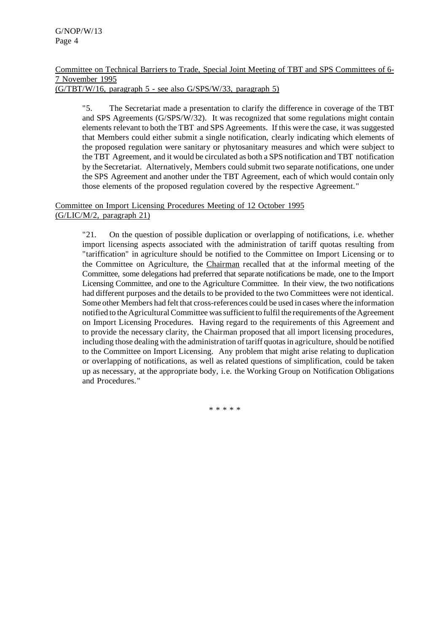#### Committee on Technical Barriers to Trade, Special Joint Meeting of TBT and SPS Committees of 6- 7 November 1995 (G/TBT/W/16, paragraph 5 - see also G/SPS/W/33, paragraph 5)

"5. The Secretariat made a presentation to clarify the difference in coverage of the TBT and SPS Agreements (G/SPS/W/32). It was recognized that some regulations might contain elements relevant to both the TBT and SPS Agreements. If this were the case, it wassuggested that Members could either submit a single notification, clearly indicating which elements of the proposed regulation were sanitary or phytosanitary measures and which were subject to the TBT Agreement, and it would be circulated as both a SPS notification and TBT notification by the Secretariat. Alternatively, Members could submit two separate notifications, one under the SPS Agreement and another under the TBT Agreement, each of which would contain only those elements of the proposed regulation covered by the respective Agreement."

#### Committee on Import Licensing Procedures Meeting of 12 October 1995 (G/LIC/M/2, paragraph 21)

"21. On the question of possible duplication or overlapping of notifications, i.e. whether import licensing aspects associated with the administration of tariff quotas resulting from "tariffication" in agriculture should be notified to the Committee on Import Licensing or to the Committee on Agriculture, the Chairman recalled that at the informal meeting of the Committee, some delegations had preferred that separate notifications be made, one to the Import Licensing Committee, and one to the Agriculture Committee. In their view, the two notifications had different purposes and the details to be provided to the two Committees were not identical. Some other Members had felt that cross-references could be used in cases where the information notified to the AgriculturalCommittee wassufficient to fulfil the requirements ofthe Agreement on Import Licensing Procedures. Having regard to the requirements of this Agreement and to provide the necessary clarity, the Chairman proposed that all import licensing procedures, including those dealing with the administration of tariff quotas in agriculture, should be notified to the Committee on Import Licensing. Any problem that might arise relating to duplication or overlapping of notifications, as well as related questions of simplification, could be taken up as necessary, at the appropriate body, i.e. the Working Group on Notification Obligations and Procedures."

\* \* \* \* \*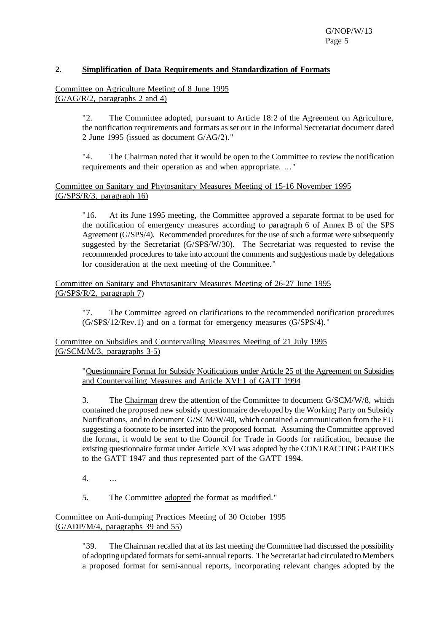# **2. Simplification of Data Requirements and Standardization of Formats**

Committee on Agriculture Meeting of 8 June 1995 (G/AG/R/2, paragraphs 2 and 4)

> "2. The Committee adopted, pursuant to Article 18:2 of the Agreement on Agriculture, the notification requirements and formats as set out in the informal Secretariat document dated 2 June 1995 (issued as document G/AG/2)."

> "4. The Chairman noted that it would be open to the Committee to review the notification requirements and their operation as and when appropriate. ..."

#### Committee on Sanitary and Phytosanitary Measures Meeting of 15-16 November 1995 (G/SPS/R/3, paragraph 16)

"16. At its June 1995 meeting, the Committee approved a separate format to be used for the notification of emergency measures according to paragraph 6 of Annex B of the SPS Agreement (G/SPS/4). Recommended procedures for the use of such a format were subsequently suggested by the Secretariat (G/SPS/W/30). The Secretariat was requested to revise the recommended procedures to take into account the comments and suggestions made by delegations for consideration at the next meeting of the Committee."

Committee on Sanitary and Phytosanitary Measures Meeting of 26-27 June 1995 (G/SPS/R/2, paragraph 7)

"7. The Committee agreed on clarifications to the recommended notification procedures (G/SPS/12/Rev.1) and on a format for emergency measures (G/SPS/4)."

Committee on Subsidies and Countervailing Measures Meeting of 21 July 1995 (G/SCM/M/3, paragraphs 3-5)

"Questionnaire Format for Subsidy Notifications under Article 25 of the Agreement on Subsidies and Countervailing Measures and Article XVI:1 of GATT 1994

3. The Chairman drew the attention of the Committee to document G/SCM/W/8, which contained the proposed new subsidy questionnaire developed by the Working Party on Subsidy Notifications, and to document G/SCM/W/40, which contained a communication from the EU suggesting a footnote to be inserted into the proposed format. Assuming the Committee approved the format, it would be sent to the Council for Trade in Goods for ratification, because the existing questionnaire format under Article XVI was adopted by the CONTRACTING PARTIES to the GATT 1947 and thus represented part of the GATT 1994.

4. ...

5. The Committee adopted the format as modified."

# Committee on Anti-dumping Practices Meeting of 30 October 1995 (G/ADP/M/4, paragraphs 39 and 55)

"39. The Chairman recalled that at its last meeting the Committee had discussed the possibility of adopting updated formats for semi-annual reports. The Secretariat had circulated to Members a proposed format for semi-annual reports, incorporating relevant changes adopted by the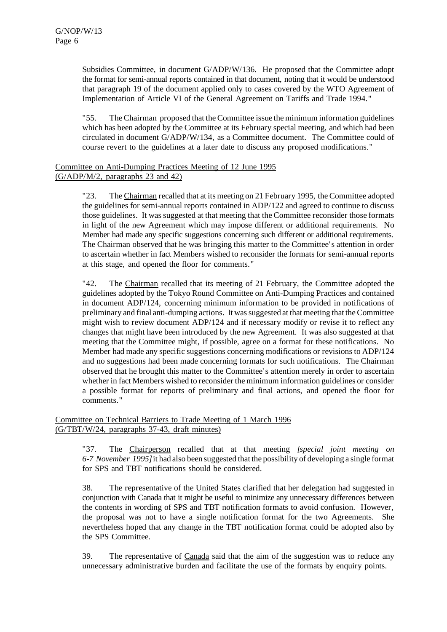Subsidies Committee, in document G/ADP/W/136. He proposed that the Committee adopt the format for semi-annual reports contained in that document, noting that it would be understood that paragraph 19 of the document applied only to cases covered by the WTO Agreement of Implementation of Article VI of the General Agreement on Tariffs and Trade 1994."

"55. The Chairman proposed that the Committee issue the minimum information guidelines which has been adopted by the Committee at its February special meeting, and which had been circulated in document G/ADP/W/134, as a Committee document. The Committee could of course revert to the guidelines at a later date to discuss any proposed modifications."

# Committee on Anti-Dumping Practices Meeting of 12 June 1995 (G/ADP/M/2, paragraphs 23 and 42)

"23. The Chairman recalled that at its meeting on 21 February 1995, the Committee adopted the guidelines for semi-annual reports contained in ADP/122 and agreed to continue to discuss those guidelines. It wassuggested at that meeting that the Committee reconsider those formats in light of the new Agreement which may impose different or additional requirements. No Member had made any specific suggestions concerning such different or additional requirements. The Chairman observed that he was bringing this matter to the Committee's attention in order to ascertain whether in fact Members wished to reconsider the formats for semi-annual reports at this stage, and opened the floor for comments."

"42. The Chairman recalled that its meeting of 21 February, the Committee adopted the guidelines adopted by the Tokyo Round Committee on Anti-Dumping Practices and contained in document ADP/124, concerning minimum information to be provided in notifications of preliminary and final anti-dumping actions. It wassuggested at that meeting that the Committee might wish to review document ADP/124 and if necessary modify or revise it to reflect any changes that might have been introduced by the new Agreement. It was also suggested at that meeting that the Committee might, if possible, agree on a format for these notifications. No Member had made any specific suggestions concerning modifications or revisions to ADP/124 and no suggestions had been made concerning formats for such notifications. The Chairman observed that he brought this matter to the Committee's attention merely in order to ascertain whether in fact Members wished to reconsider the minimum information guidelines or consider a possible format for reports of preliminary and final actions, and opened the floor for comments."

#### Committee on Technical Barriers to Trade Meeting of 1 March 1996 (G/TBT/W/24, paragraphs 37-43, draft minutes)

"37. The Chairperson recalled that at that meeting *[special joint meeting on 6-7 November 1995]*it had also been suggested that the possibility of developing a single format for SPS and TBT notifications should be considered.

38. The representative of the United States clarified that her delegation had suggested in conjunction with Canada that it might be useful to minimize any unnecessary differences between the contents in wording of SPS and TBT notification formats to avoid confusion. However, the proposal was not to have a single notification format for the two Agreements. She nevertheless hoped that any change in the TBT notification format could be adopted also by the SPS Committee.

39. The representative of Canada said that the aim of the suggestion was to reduce any unnecessary administrative burden and facilitate the use of the formats by enquiry points.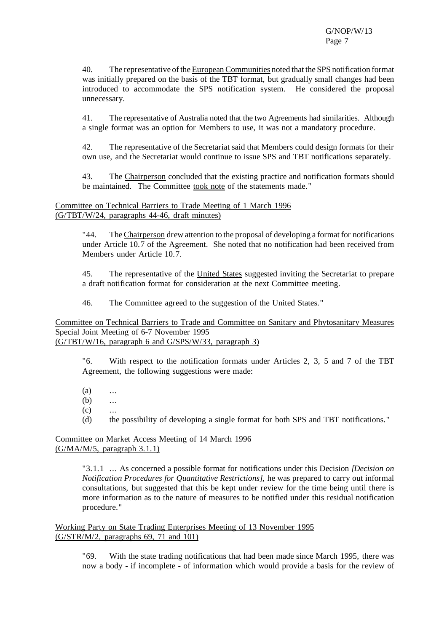40. The representative of the European Communities noted that the SPS notification format was initially prepared on the basis of the TBT format, but gradually small changes had been introduced to accommodate the SPS notification system. He considered the proposal unnecessary.

41. The representative of Australia noted that the two Agreements had similarities. Although a single format was an option for Members to use, it was not a mandatory procedure.

42. The representative of the Secretariat said that Members could design formats for their own use, and the Secretariat would continue to issue SPS and TBT notifications separately.

43. The Chairperson concluded that the existing practice and notification formats should be maintained. The Committee took note of the statements made."

# Committee on Technical Barriers to Trade Meeting of 1 March 1996 (G/TBT/W/24, paragraphs 44-46, draft minutes)

"44. The Chairperson drew attention to the proposal of developing a format for notifications under Article 10.7 of the Agreement. She noted that no notification had been received from Members under Article 10.7.

45. The representative of the United States suggested inviting the Secretariat to prepare a draft notification format for consideration at the next Committee meeting.

46. The Committee agreed to the suggestion of the United States."

#### Committee on Technical Barriers to Trade and Committee on Sanitary and Phytosanitary Measures Special Joint Meeting of 6-7 November 1995 (G/TBT/W/16, paragraph 6 and G/SPS/W/33, paragraph 3)

"6. With respect to the notification formats under Articles 2, 3, 5 and 7 of the TBT Agreement, the following suggestions were made:

 $(a)$  ...

 $(b)$  ...

 $(c)$  ...

(d) the possibility of developing a single format for both SPS and TBT notifications."

#### Committee on Market Access Meeting of 14 March 1996 (G/MA/M/5, paragraph 3.1.1)

"3.1.1 ... As concerned a possible format for notifications under this Decision *[Decision on Notification Procedures for Quantitative Restrictions]*, he was prepared to carry out informal consultations, but suggested that this be kept under review for the time being until there is more information as to the nature of measures to be notified under this residual notification procedure."

Working Party on State Trading Enterprises Meeting of 13 November 1995 (G/STR/M/2, paragraphs 69, 71 and 101)

> "69. With the state trading notifications that had been made since March 1995, there was now a body - if incomplete - of information which would provide a basis for the review of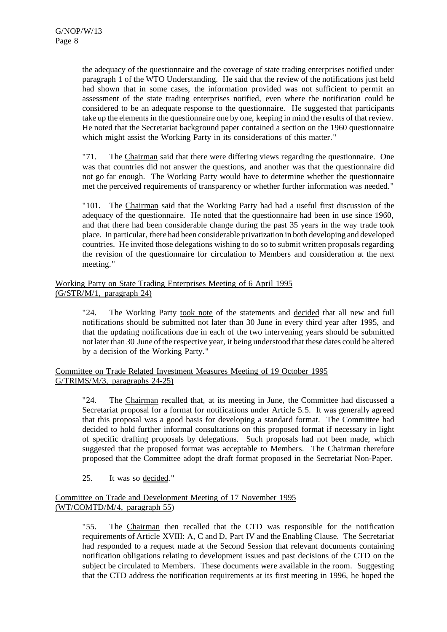the adequacy of the questionnaire and the coverage of state trading enterprises notified under paragraph 1 of the WTO Understanding. He said that the review of the notifications just held had shown that in some cases, the information provided was not sufficient to permit an assessment of the state trading enterprises notified, even where the notification could be considered to be an adequate response to the questionnaire. He suggested that participants take up the elements in the questionnaire one by one, keeping in mind the results of that review. He noted that the Secretariat background paper contained a section on the 1960 questionnaire which might assist the Working Party in its considerations of this matter."

"71. The Chairman said that there were differing views regarding the questionnaire. One was that countries did not answer the questions, and another was that the questionnaire did not go far enough. The Working Party would have to determine whether the questionnaire met the perceived requirements of transparency or whether further information was needed."

"101. The Chairman said that the Working Party had had a useful first discussion of the adequacy of the questionnaire. He noted that the questionnaire had been in use since 1960, and that there had been considerable change during the past 35 years in the way trade took place. In particular, there had been considerable privatization in both developing and developed countries. He invited those delegations wishing to do so to submit written proposals regarding the revision of the questionnaire for circulation to Members and consideration at the next meeting."

# Working Party on State Trading Enterprises Meeting of 6 April 1995 (G/STR/M/1, paragraph 24)

"24. The Working Party took note of the statements and decided that all new and full notifications should be submitted not later than 30 June in every third year after 1995, and that the updating notifications due in each of the two intervening years should be submitted not later than 30 June of the respective year, it being understood that these dates could be altered by a decision of the Working Party."

Committee on Trade Related Investment Measures Meeting of 19 October 1995 G/TRIMS/M/3, paragraphs 24-25)

"24. The Chairman recalled that, at its meeting in June, the Committee had discussed a Secretariat proposal for a format for notifications under Article 5.5. It was generally agreed that this proposal was a good basis for developing a standard format. The Committee had decided to hold further informal consultations on this proposed format if necessary in light of specific drafting proposals by delegations. Such proposals had not been made, which suggested that the proposed format was acceptable to Members. The Chairman therefore proposed that the Committee adopt the draft format proposed in the Secretariat Non-Paper.

25. It was so decided."

# Committee on Trade and Development Meeting of 17 November 1995 (WT/COMTD/M/4, paragraph 55)

"55. The Chairman then recalled that the CTD was responsible for the notification requirements of Article XVIII: A, C and D, Part IV and the Enabling Clause. The Secretariat had responded to a request made at the Second Session that relevant documents containing notification obligations relating to development issues and past decisions of the CTD on the subject be circulated to Members. These documents were available in the room. Suggesting that the CTD address the notification requirements at its first meeting in 1996, he hoped the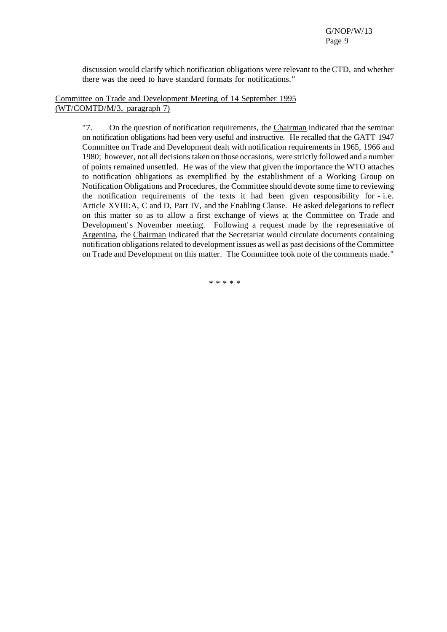discussion would clarify which notification obligations were relevant to the CTD, and whether there was the need to have standard formats for notifications."

#### Committee on Trade and Development Meeting of 14 September 1995 (WT/COMTD/M/3, paragraph 7)

"7. On the question of notification requirements, the Chairman indicated that the seminar on notification obligations had been very useful and instructive. He recalled that the GATT 1947 Committee on Trade and Development dealt with notification requirements in 1965, 1966 and 1980; however, not all decisionstaken on those occasions, were strictly followed and a number of points remained unsettled. He was of the view that given the importance the WTO attaches to notification obligations as exemplified by the establishment of a Working Group on Notification Obligations and Procedures, the Committee should devote some time to reviewing the notification requirements of the texts it had been given responsibility for - i.e. Article XVIII:A, C and D, Part IV, and the Enabling Clause. He asked delegations to reflect on this matter so as to allow a first exchange of views at the Committee on Trade and Development's November meeting. Following a request made by the representative of Argentina, the Chairman indicated that the Secretariat would circulate documents containing notification obligations related to development issues as well as past decisions of the Committee on Trade and Development on this matter. The Committee took note of the comments made."

\* \* \* \* \*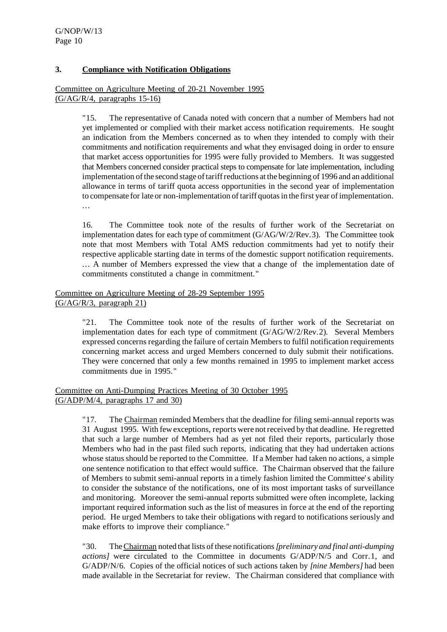# **3. Compliance with Notification Obligations**

Committee on Agriculture Meeting of 20-21 November 1995 (G/AG/R/4, paragraphs 15-16)

> "15. The representative of Canada noted with concern that a number of Members had not yet implemented or complied with their market access notification requirements. He sought an indication from the Members concerned as to when they intended to comply with their commitments and notification requirements and what they envisaged doing in order to ensure that market access opportunities for 1995 were fully provided to Members. It was suggested that Members concerned consider practical steps to compensate for late implementation, including implementation of the second stage of tariff reductions at the beginning of 1996 and an additional allowance in terms of tariff quota access opportunities in the second year of implementation to compensate for late or non-implementation of tariff quotas in the first year of implementation. ...

> 16. The Committee took note of the results of further work of the Secretariat on implementation dates for each type of commitment (G/AG/W/2/Rev.3). The Committee took note that most Members with Total AMS reduction commitments had yet to notify their respective applicable starting date in terms of the domestic support notification requirements. ... A number of Members expressed the view that a change of the implementation date of commitments constituted a change in commitment."

# Committee on Agriculture Meeting of 28-29 September 1995 (G/AG/R/3, paragraph 21)

"21. The Committee took note of the results of further work of the Secretariat on implementation dates for each type of commitment (G/AG/W/2/Rev.2). Several Members expressed concerns regarding the failure of certain Members to fulfil notification requirements concerning market access and urged Members concerned to duly submit their notifications. They were concerned that only a few months remained in 1995 to implement market access commitments due in 1995."

#### Committee on Anti-Dumping Practices Meeting of 30 October 1995 (G/ADP/M/4, paragraphs 17 and 30)

"17. The Chairman reminded Members that the deadline for filing semi-annual reports was 31 August 1995. With few exceptions,reports were notreceived by that deadline. He regretted that such a large number of Members had as yet not filed their reports, particularly those Members who had in the past filed such reports, indicating that they had undertaken actions whose status should be reported to the Committee. If a Member had taken no actions, a simple one sentence notification to that effect would suffice. The Chairman observed that the failure of Members to submit semi-annual reports in a timely fashion limited the Committee's ability to consider the substance of the notifications, one of its most important tasks of surveillance and monitoring. Moreover the semi-annual reports submitted were often incomplete, lacking important required information such as the list of measures in force at the end of the reporting period. He urged Members to take their obligations with regard to notifications seriously and make efforts to improve their compliance."

"30. TheChairman noted that lists of these notifications*[preliminary and final anti-dumping actions]* were circulated to the Committee in documents G/ADP/N/5 and Corr.1, and G/ADP/N/6. Copies of the official notices of such actions taken by *[nine Members]* had been made available in the Secretariat for review. The Chairman considered that compliance with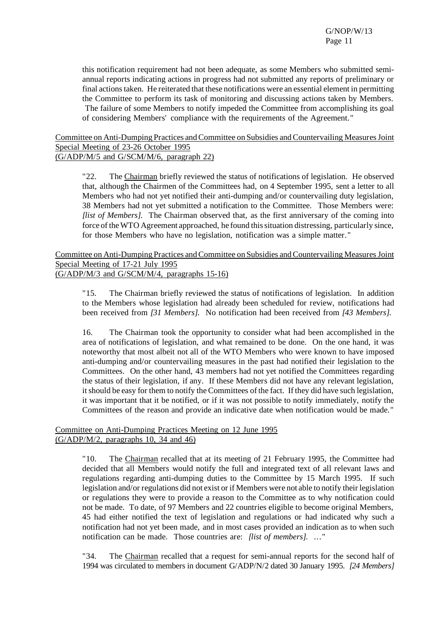this notification requirement had not been adequate, as some Members who submitted semiannual reports indicating actions in progress had not submitted any reports of preliminary or final actionstaken. He reiterated that these notifications were an essential element in permitting the Committee to perform its task of monitoring and discussing actions taken by Members. The failure of some Members to notify impeded the Committee from accomplishing its goal of considering Members' compliance with the requirements of the Agreement."

# Committee on Anti-Dumping Practices and Committee on Subsidies and Countervailing Measures Joint Special Meeting of 23-26 October 1995 (G/ADP/M/5 and G/SCM/M/6, paragraph 22)

"22. The Chairman briefly reviewed the status of notifications of legislation. He observed that, although the Chairmen of the Committees had, on 4 September 1995, sent a letter to all Members who had not yet notified their anti-dumping and/or countervailing duty legislation, 38 Members had not yet submitted a notification to the Committee. Those Members were: *[list of Members]*. The Chairman observed that, as the first anniversary of the coming into force of theWTO Agreement approached, he found thissituation distressing, particularly since, for those Members who have no legislation, notification was a simple matter."

Committee on Anti-Dumping Practices and Committee on Subsidies and Countervailing Measures Joint Special Meeting of 17-21 July 1995 (G/ADP/M/3 and G/SCM/M/4, paragraphs 15-16)

"15. The Chairman briefly reviewed the status of notifications of legislation. In addition to the Members whose legislation had already been scheduled for review, notifications had been received from *[31 Members]*. No notification had been received from *[43 Members]*.

16. The Chairman took the opportunity to consider what had been accomplished in the area of notifications of legislation, and what remained to be done. On the one hand, it was noteworthy that most albeit not all of the WTO Members who were known to have imposed anti-dumping and/or countervailing measures in the past had notified their legislation to the Committees. On the other hand, 43 members had not yet notified the Committees regarding the status of their legislation, if any. If these Members did not have any relevant legislation, itshould be easy forthem to notify the Committees of the fact. If they did have such legislation, it was important that it be notified, or if it was not possible to notify immediately, notify the Committees of the reason and provide an indicative date when notification would be made."

# Committee on Anti-Dumping Practices Meeting on 12 June 1995 (G/ADP/M/2, paragraphs 10, 34 and 46)

"10. The Chairman recalled that at its meeting of 21 February 1995, the Committee had decided that all Members would notify the full and integrated text of all relevant laws and regulations regarding anti-dumping duties to the Committee by 15 March 1995. If such legislation and/or regulations did not exist or if Members were not able to notify their legislation or regulations they were to provide a reason to the Committee as to why notification could not be made. To date, of 97 Members and 22 countries eligible to become original Members, 45 had either notified the text of legislation and regulations or had indicated why such a notification had not yet been made, and in most cases provided an indication as to when such notification can be made. Those countries are: *[list of members]*. ..."

"34. The Chairman recalled that a request for semi-annual reports for the second half of 1994 was circulated to members in document G/ADP/N/2 dated 30 January 1995. *[24 Members]*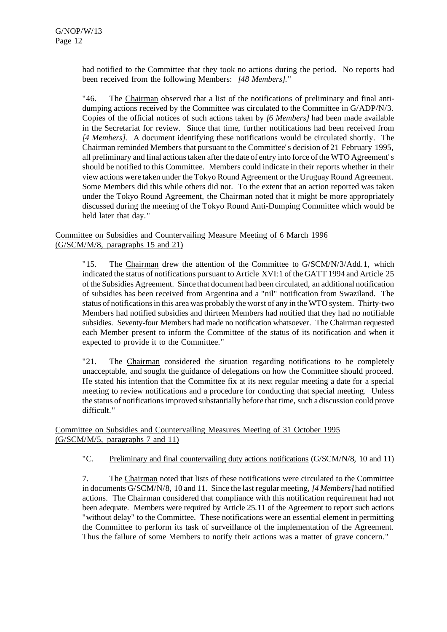had notified to the Committee that they took no actions during the period. No reports had been received from the following Members: *[48 Members]*."

"46. The Chairman observed that a list of the notifications of preliminary and final antidumping actions received by the Committee was circulated to the Committee in G/ADP/N/3. Copies of the official notices of such actions taken by *[6 Members]* had been made available in the Secretariat for review. Since that time, further notifications had been received from *[4 Members]*. A document identifying these notifications would be circulated shortly. The Chairman reminded Members that pursuant to the Committee's decision of 21 February 1995, all preliminary and final actionstaken afterthe date of entry into force of the WTO Agreement's should be notified to this Committee. Members could indicate in their reports whether in their view actions were taken under the Tokyo Round Agreement orthe Uruguay Round Agreement. Some Members did this while others did not. To the extent that an action reported was taken under the Tokyo Round Agreement, the Chairman noted that it might be more appropriately discussed during the meeting of the Tokyo Round Anti-Dumping Committee which would be held later that day."

# Committee on Subsidies and Countervailing Measure Meeting of 6 March 1996 (G/SCM/M/8, paragraphs 15 and 21)

"15. The Chairman drew the attention of the Committee to G/SCM/N/3/Add.1, which indicated the status of notifications pursuant to Article XVI:1 of the GATT 1994 and Article 25 ofthe Subsidies Agreement. Since that document had been circulated, an additional notification of subsidies has been received from Argentina and a "nil" notification from Swaziland. The status of notificationsin this area was probably the worst of any in the WTO system. Thirty-two Members had notified subsidies and thirteen Members had notified that they had no notifiable subsidies. Seventy-four Members had made no notification whatsoever. The Chairman requested each Member present to inform the Committee of the status of its notification and when it expected to provide it to the Committee."

"21. The Chairman considered the situation regarding notifications to be completely unacceptable, and sought the guidance of delegations on how the Committee should proceed. He stated his intention that the Committee fix at its next regular meeting a date for a special meeting to review notifications and a procedure for conducting that special meeting. Unless the status of notifications improved substantially before that time, such a discussion could prove difficult."

# Committee on Subsidies and Countervailing Measures Meeting of 31 October 1995 (G/SCM/M/5, paragraphs 7 and 11)

# "C. Preliminary and final countervailing duty actions notifications (G/SCM/N/8, 10 and 11)

7. The Chairman noted that lists of these notifications were circulated to the Committee in documents G/SCM/N/8, 10 and 11. Since the lastregular meeting, *[4 Members]* had notified actions. The Chairman considered that compliance with this notification requirement had not been adequate. Members were required by Article 25.11 of the Agreement to report such actions "without delay" to the Committee. These notifications were an essential element in permitting the Committee to perform its task of surveillance of the implementation of the Agreement. Thus the failure of some Members to notify their actions was a matter of grave concern."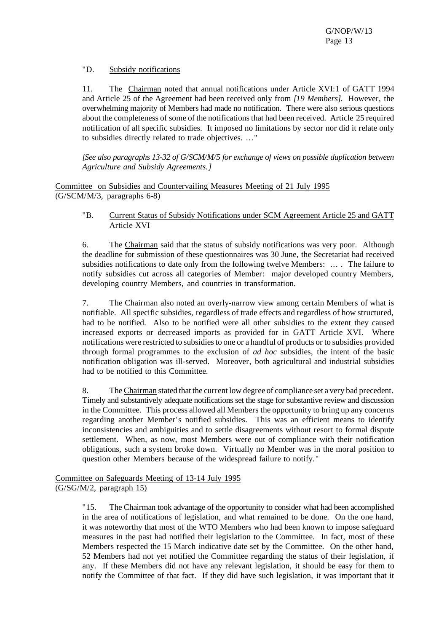# "D. Subsidy notifications

11. The Chairman noted that annual notifications under Article XVI:1 of GATT 1994 and Article 25 of the Agreement had been received only from *[19 Members]*. However, the overwhelming majority of Members had made no notification. There were also serious questions about the completeness of some of the notificationsthat had been received. Article 25 required notification of all specific subsidies. It imposed no limitations by sector nor did it relate only to subsidies directly related to trade objectives. ..."

*[See also paragraphs 13-32 of G/SCM/M/5 for exchange of views on possible duplication between Agriculture and Subsidy Agreements.]*

Committee on Subsidies and Countervailing Measures Meeting of 21 July 1995 (G/SCM/M/3, paragraphs 6-8)

"B. Current Status of Subsidy Notifications under SCM Agreement Article 25 and GATT Article XVI

6. The Chairman said that the status of subsidy notifications was very poor. Although the deadline for submission of these questionnaires was 30 June, the Secretariat had received subsidies notifications to date only from the following twelve Members: ... . The failure to notify subsidies cut across all categories of Member: major developed country Members, developing country Members, and countries in transformation.

7. The Chairman also noted an overly-narrow view among certain Members of what is notifiable. All specific subsidies, regardless of trade effects and regardless of how structured, had to be notified. Also to be notified were all other subsidies to the extent they caused increased exports or decreased imports as provided for in GATT Article XVI. Where notifications were restricted to subsidies to one or a handful of products or to subsidies provided through formal programmes to the exclusion of *ad hoc* subsidies, the intent of the basic notification obligation was ill-served. Moreover, both agricultural and industrial subsidies had to be notified to this Committee.

8. The Chairman stated that the current low degree of compliance set a very bad precedent. Timely and substantively adequate notifications set the stage for substantive review and discussion in the Committee. This process allowed all Members the opportunity to bring up any concerns regarding another Member's notified subsidies. This was an efficient means to identify inconsistencies and ambiguities and to settle disagreements without resort to formal dispute settlement. When, as now, most Members were out of compliance with their notification obligations, such a system broke down. Virtually no Member was in the moral position to question other Members because of the widespread failure to notify."

Committee on Safeguards Meeting of 13-14 July 1995 (G/SG/M/2, paragraph 15)

> "15. The Chairman took advantage of the opportunity to consider what had been accomplished in the area of notifications of legislation, and what remained to be done. On the one hand, it was noteworthy that most of the WTO Members who had been known to impose safeguard measures in the past had notified their legislation to the Committee. In fact, most of these Members respected the 15 March indicative date set by the Committee. On the other hand, 52 Members had not yet notified the Committee regarding the status of their legislation, if any. If these Members did not have any relevant legislation, it should be easy for them to notify the Committee of that fact. If they did have such legislation, it was important that it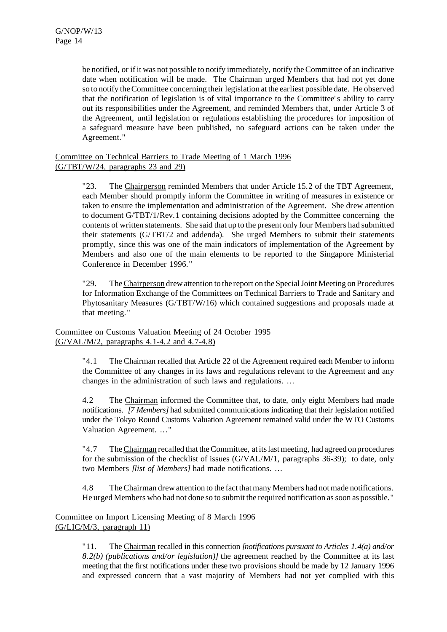be notified, or if it was not possible to notify immediately, notify the Committee of an indicative date when notification will be made. The Chairman urged Members that had not yet done so to notify the Committee concerning their legislation at the earliest possible date. He observed that the notification of legislation is of vital importance to the Committee's ability to carry out its responsibilities under the Agreement, and reminded Members that, under Article 3 of the Agreement, until legislation or regulations establishing the procedures for imposition of a safeguard measure have been published, no safeguard actions can be taken under the Agreement."

#### Committee on Technical Barriers to Trade Meeting of 1 March 1996 (G/TBT/W/24, paragraphs 23 and 29)

"23. The Chairperson reminded Members that under Article 15.2 of the TBT Agreement, each Member should promptly inform the Committee in writing of measures in existence or taken to ensure the implementation and administration of the Agreement. She drew attention to document G/TBT/1/Rev.1 containing decisions adopted by the Committee concerning the contents of written statements. She said that up to the present only four Members had submitted their statements (G/TBT/2 and addenda). She urged Members to submit their statements promptly, since this was one of the main indicators of implementation of the Agreement by Members and also one of the main elements to be reported to the Singapore Ministerial Conference in December 1996."

"29. The Chairperson drew attention to the report on the Special Joint Meeting on Procedures for Information Exchange of the Committees on Technical Barriers to Trade and Sanitary and Phytosanitary Measures (G/TBT/W/16) which contained suggestions and proposals made at that meeting."

# Committee on Customs Valuation Meeting of 24 October 1995 (G/VAL/M/2, paragraphs 4.1-4.2 and 4.7-4.8)

"4.1 The Chairman recalled that Article 22 of the Agreement required each Member to inform the Committee of any changes in its laws and regulations relevant to the Agreement and any changes in the administration of such laws and regulations. ...

4.2 The Chairman informed the Committee that, to date, only eight Members had made notifications. *[7 Members]* had submitted communications indicating that their legislation notified under the Tokyo Round Customs Valuation Agreement remained valid under the WTO Customs Valuation Agreement. ..."

"4.7 The Chairman recalled that the Committee, at its last meeting, had agreed on procedures for the submission of the checklist of issues (G/VAL/M/1, paragraphs 36-39); to date, only two Members *[list of Members]* had made notifications. ...

4.8 The Chairman drew attention to the fact that many Members had not made notifications. He urged Members who had not done so to submit the required notification assoon as possible."

# Committee on Import Licensing Meeting of 8 March 1996 (G/LIC/M/3, paragraph 11)

"11. The Chairman recalled in this connection *[notifications pursuant to Articles 1.4(a) and/or 8.2(b) (publications and/or legislation)]* the agreement reached by the Committee at its last meeting that the first notifications under these two provisions should be made by 12 January 1996 and expressed concern that a vast majority of Members had not yet complied with this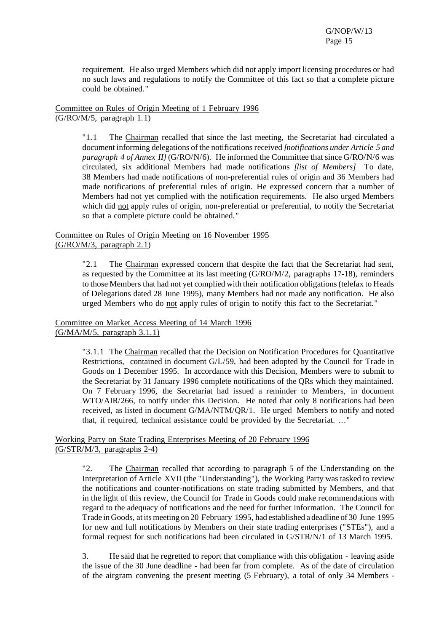requirement. He also urged Members which did not apply import licensing procedures or had no such laws and regulations to notify the Committee of this fact so that a complete picture could be obtained."

Committee on Rules of Origin Meeting of 1 February 1996  $(G/RO/M/5,$  paragraph  $1.1)$ 

> "1.1 The Chairman recalled that since the last meeting, the Secretariat had circulated a document informing delegations of the notificationsreceived *[notifications under Article 5 and paragraph 4 of Annex II]* (G/RO/N/6). He informed the Committee that since G/RO/N/6 was circulated, six additional Members had made notifications *[list of Members]* To date, 38 Members had made notifications of non-preferential rules of origin and 36 Members had made notifications of preferential rules of origin. He expressed concern that a number of Members had not yet complied with the notification requirements. He also urged Members which did not apply rules of origin, non-preferential or preferential, to notify the Secretariat so that a complete picture could be obtained."

Committee on Rules of Origin Meeting on 16 November 1995 (G/RO/M/3, paragraph 2.1)

> "2.1 The Chairman expressed concern that despite the fact that the Secretariat had sent, as requested by the Committee at its last meeting (G/RO/M/2, paragraphs 17-18), reminders to those Members that had not yet complied with their notification obligations(telefax to Heads of Delegations dated 28 June 1995), many Members had not made any notification. He also urged Members who do not apply rules of origin to notify this fact to the Secretariat."

Committee on Market Access Meeting of 14 March 1996 (G/MA/M/5, paragraph 3.1.1)

> "3.1.1 The Chairman recalled that the Decision on Notification Procedures for Quantitative Restrictions, contained in document G/L/59, had been adopted by the Council for Trade in Goods on 1 December 1995. In accordance with this Decision, Members were to submit to the Secretariat by 31 January 1996 complete notifications of the QRs which they maintained. On 7 February 1996, the Secretariat had issued a reminder to Members, in document WTO/AIR/266, to notify under this Decision. He noted that only 8 notifications had been received, as listed in document G/MA/NTM/QR/1. He urged Members to notify and noted that, if required, technical assistance could be provided by the Secretariat. ..."

Working Party on State Trading Enterprises Meeting of 20 February 1996 (G/STR/M/3, paragraphs 2-4)

> "2. The Chairman recalled that according to paragraph 5 of the Understanding on the Interpretation of Article XVII (the "Understanding"), the Working Party was tasked to review the notifications and counter-notifications on state trading submitted by Members, and that in the light of this review, the Council for Trade in Goods could make recommendations with regard to the adequacy of notifications and the need for further information. The Council for Trade in Goods, at itsmeeting on 20 February 1995, had established a deadline of 30 June 1995 for new and full notifications by Members on their state trading enterprises ("STEs"), and a formal request for such notifications had been circulated in G/STR/N/1 of 13 March 1995.

> 3. He said that he regretted to report that compliance with this obligation - leaving aside the issue of the 30 June deadline - had been far from complete. As of the date of circulation of the airgram convening the present meeting (5 February), a total of only 34 Members -